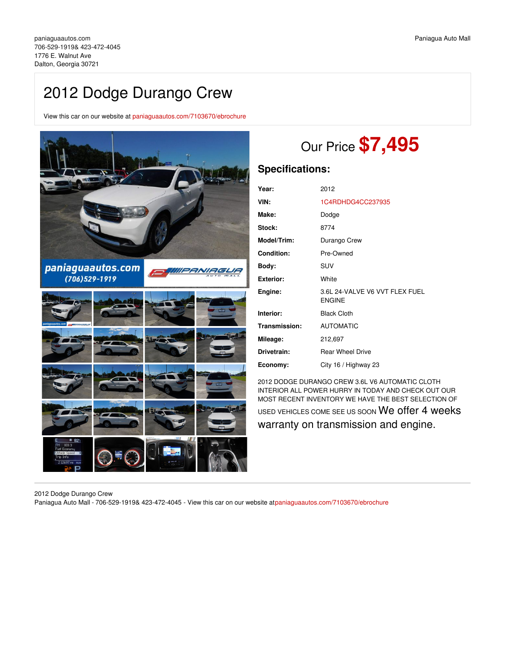# 2012 Dodge Durango Crew

View this car on our website at [paniaguaautos.com/7103670/ebrochure](https://paniaguaautos.com/vehicle/7103670/2012-dodge-durango-crew-dalton-georgia-30721/7103670/ebrochure)



# Our Price **\$7,495**

## **Specifications:**

| Year:             | 2012                                            |
|-------------------|-------------------------------------------------|
| VIN:              | 1C4RDHDG4CC237935                               |
| Make:             | Dodge                                           |
| Stock:            | 8774                                            |
| Model/Trim:       | Durango Crew                                    |
| <b>Condition:</b> | Pre-Owned                                       |
| Body:             | SUV                                             |
| <b>Exterior:</b>  | White                                           |
| Engine:           | 3.6L 24-VALVE V6 VVT FLEX FUEL<br><b>ENGINE</b> |
| Interior:         | <b>Black Cloth</b>                              |
| Transmission:     | <b>AUTOMATIC</b>                                |
| Mileage:          | 212,697                                         |
| Drivetrain:       | <b>Rear Wheel Drive</b>                         |
| Economy:          | City 16 / Highway 23                            |

2012 DODGE DURANGO CREW 3.6L V6 AUTOMATIC CLOTH INTERIOR ALL POWER HURRY IN TODAY AND CHECK OUT OUR MOST RECENT INVENTORY WE HAVE THE BEST SELECTION OF

USED VEHICLES COME SEE US SOON We offer 4 weeks warranty on transmission and engine.

2012 Dodge Durango Crew

Paniagua Auto Mall - 706-529-1919& 423-472-4045 - View this car on our website a[tpaniaguaautos.com/7103670/ebrochure](https://paniaguaautos.com/vehicle/7103670/2012-dodge-durango-crew-dalton-georgia-30721/7103670/ebrochure)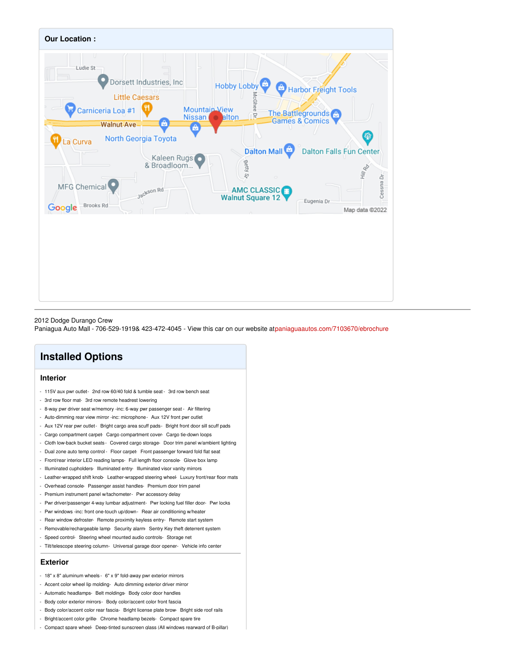

#### 2012 Dodge Durango Crew

Paniagua Auto Mall - 706-529-1919& 423-472-4045 - View this car on our website a[tpaniaguaautos.com/7103670/ebrochure](https://paniaguaautos.com/vehicle/7103670/2012-dodge-durango-crew-dalton-georgia-30721/7103670/ebrochure)

## **Installed Options**

#### **Interior**

- 115V aux pwr outlet- 2nd row 60/40 fold & tumble seat 3rd row bench seat
- 3rd row floor mat- 3rd row remote headrest lowering
- 8-way pwr driver seat w/memory -inc: 6-way pwr passenger seat Air filtering
- Auto-dimming rear view mirror -inc: microphone- Aux 12V front pwr outlet
- Aux 12V rear pwr outlet- Bright cargo area scuff pads- Bright front door sill scuff pads
- Cargo compartment carpet- Cargo compartment cover- Cargo tie-down loops
- Cloth low-back bucket seats- Covered cargo storage- Door trim panel w/ambient lighting
- Dual zone auto temp control Floor carpet- Front passenger forward fold flat seat
- Front/rear interior LED reading lamps- Full length floor console- Glove box lamp
- Illuminated cupholders- Illuminated entry- Illuminated visor vanity mirrors
- Leather-wrapped shift knob-Leather-wrapped steering wheel-Luxury front/rear floor mats
- Overhead console- Passenger assist handles- Premium door trim panel
- Premium instrument panel w/tachometer- Pwr accessory delay
- Pwr driver/passenger 4-way lumbar adjustment- Pwr locking fuel filler door- Pwr locks
- Pwr windows -inc: front one-touch up/down- Rear air conditioning w/heater
- Rear window defroster- Remote proximity keyless entry- Remote start system
- Removable/rechargeable lamp- Security alarm- Sentry Key theft deterrent system
- Speed control- Steering wheel mounted audio controls- Storage net
- Tilt/telescope steering column- Universal garage door opener- Vehicle info center

### **Exterior**

- 18" x 8" aluminum wheels 6" x 9" fold-away pwr exterior mirrors
- Accent color wheel lip molding- Auto dimming exterior driver mirror
- Automatic headlamps- Belt moldings- Body color door handles
- Body color exterior mirrors- Body color/accent color front fascia
- Body color/accent color rear fascia- Bright license plate brow- Bright side roof rails
- Bright/accent color grille- Chrome headlamp bezels- Compact spare tire
- Compact spare wheel- Deep-tinted sunscreen glass (All windows rearward of B-pillar)